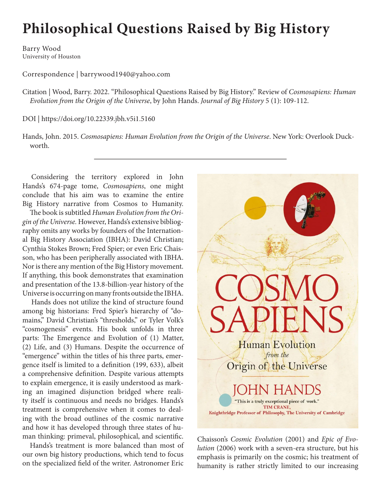## **Philosophical Questions Raised by Big History**

Barry Wood University of Houston

Correspondence | barrywood1940@yahoo.com

Citation | Wood, Barry. 2022. "Philosophical Questions Raised by Big History." Review of *Cosmosapiens: Human Evolution from the Origin of the Universe*, by John Hands. *Journal of Big History* 5 (1): 109-112.

DOI | https://doi.org/10.22339.jbh.v5i1.5160

Hands, John. 2015. *Cosmosapiens: Human Evolution from the Origin of the Universe*. New York: Overlook Duckworth.

Considering the territory explored in John Hands's 674-page tome, *Cosmosapiens*, one might conclude that his aim was to examine the entire Big History narrative from Cosmos to Humanity.

The book is subtitled *Human Evolution from the Origin of the Universe.* However, Hands's extensive bibliography omits any works by founders of the International Big History Association (IBHA): David Christian; Cynthia Stokes Brown; Fred Spier; or even Eric Chaisson, who has been peripherally associated with IBHA. Nor is there any mention of the Big History movement. If anything, this book demonstrates that examination and presentation of the 13.8-billion-year history of the Universe is occurring on many fronts outside the IBHA.

Hands does not utilize the kind of structure found among big historians: Fred Spier's hierarchy of "domains," David Christian's "thresholds," or Tyler Volk's "cosmogenesis" events. His book unfolds in three parts: The Emergence and Evolution of (1) Matter, (2) Life, and (3) Humans. Despite the occurrence of "emergence" within the titles of his three parts, emergence itself is limited to a definition (199, 633), albeit a comprehensive definition. Despite various attempts to explain emergence, it is easily understood as marking an imagined disjunction bridged where reality itself is continuous and needs no bridges. Hands's treatment is comprehensive when it comes to dealing with the broad outlines of the cosmic narrative and how it has developed through three states of human thinking: primeval, philosophical, and scientific.

Hands's treatment is more balanced than most of our own big history productions, which tend to focus on the specialized field of the writer. Astronomer Eric



Chaisson's *Cosmic Evolution* (2001) and *Epic of Evolution* (2006) work with a seven-era structure, but his emphasis is primarily on the cosmic; his treatment of humanity is rather strictly limited to our increasing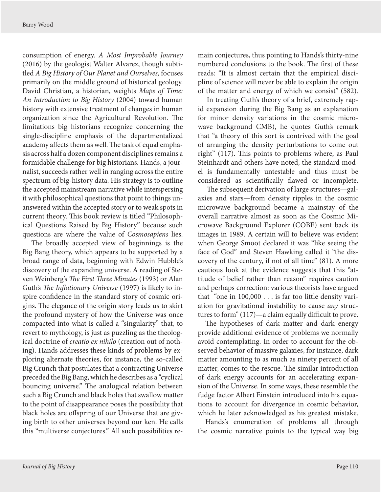consumption of energy. *A Most Improbable Journey* (2016) by the geologist Walter Alvarez, though subtitled *A Big History of Our Planet and Ourselves,* focuses primarily on the middle ground of historical geology. David Christian, a historian, weights *Maps of Time: An Introduction to Big History* (2004) toward human history with extensive treatment of changes in human organization since the Agricultural Revolution. The limitations big historians recognize concerning the single-discipline emphasis of the departmentalized academy affects them as well. The task of equal emphasis across half a dozen component disciplines remains a formidable challenge for big historians. Hands, a journalist, succeeds rather well in ranging across the entire spectrum of big-history data. His strategy is to outline the accepted mainstream narrative while interspersing it with philosophical questions that point to things unanswered within the accepted story or to weak spots in current theory. This book review is titled "Philosophical Questions Raised by Big History" because such questions are where the value of *Cosmosapiens* lies.

The broadly accepted view of beginnings is the Big Bang theory, which appears to be supported by a broad range of data, beginning with Edwin Hubble's discovery of the expanding universe. A reading of Steven Weinberg's *The First Three Minutes* (1993) or Alan Guth's *The Inflationary Universe* (1997) is likely to inspire confidence in the standard story of cosmic origins. The elegance of the origin story leads us to skirt the profound mystery of how the Universe was once compacted into what is called a "singularity" that, to revert to mythology, is just as puzzling as the theological doctrine of *creatio ex nihilo* (creation out of nothing). Hands addresses these kinds of problems by exploring alternate theories, for instance, the so-called Big Crunch that postulates that a contracting Universe preceded the Big Bang, which he describes as a "cyclical bouncing universe." The analogical relation between such a Big Crunch and black holes that swallow matter to the point of disappearance poses the possibility that black holes are offspring of our Universe that are giving birth to other universes beyond our ken. He calls this "multiverse conjectures." All such possibilities remain conjectures, thus pointing to Hands's thirty-nine numbered conclusions to the book. The first of these reads: "It is almost certain that the empirical discipline of science will never be able to explain the origin of the matter and energy of which we consist" (582).

In treating Guth's theory of a brief, extremely rapid expansion during the Big Bang as an explanation for minor density variations in the cosmic microwave background CMB), he quotes Guth's remark that "a theory of this sort is contrived with the goal of arranging the density perturbations to come out right" (117). This points to problems where, as Paul Steinhardt and others have noted, the standard model is fundamentally untestable and thus must be considered as scientifically flawed or incomplete.

The subsequent derivation of large structures—galaxies and stars—from density ripples in the cosmic microwave background became a mainstay of the overall narrative almost as soon as the Cosmic Microwave Background Explorer (COBE) sent back its images in 1989. A certain will to believe was evident when George Smoot declared it was "like seeing the face of God" and Steven Hawking called it "the discovery of the century, if not of all time" (81). A more cautious look at the evidence suggests that this "attitude of belief rather than reason" requires caution and perhaps correction: various theorists have argued that "one in 100,000 . . . is far too little density variation for gravitational instability to cause *any* structures to form" (117)—a claim equally difficult to prove.

The hypotheses of dark matter and dark energy provide additional evidence of problems we normally avoid contemplating. In order to account for the observed behavior of massive galaxies, for instance, dark matter amounting to as much as ninety percent of all matter, comes to the rescue. The similar introduction of dark energy accounts for an accelerating expansion of the Universe. In some ways, these resemble the fudge factor Albert Einstein introduced into his equations to account for divergence in cosmic behavior, which he later acknowledged as his greatest mistake.

Hands's enumeration of problems all through the cosmic narrative points to the typical way big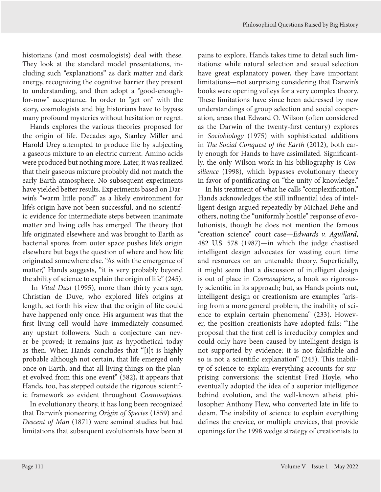historians (and most cosmologists) deal with these. They look at the standard model presentations, including such "explanations" as dark matter and dark energy, recognizing the cognitive barrier they present to understanding, and then adopt a "good-enoughfor-now" acceptance. In order to "get on" with the story, cosmologists and big historians have to bypass many profound mysteries without hesitation or regret.

Hands explores the various theories proposed for the origin of life. Decades ago, Stanley Miller and Harold Urey attempted to produce life by subjecting a gaseous mixture to an electric current. Amino acids were produced but nothing more. Later, it was realized that their gaseous mixture probably did not match the early Earth atmosphere. No subsequent experiments have yielded better results. Experiments based on Darwin's "warm little pond" as a likely environment for life's origin have not been successful, and no scientific evidence for intermediate steps between inanimate matter and living cells has emerged. The theory that life originated elsewhere and was brought to Earth as bacterial spores from outer space pushes life's origin elsewhere but begs the question of where and how life originated somewhere else. "As with the emergence of matter," Hands suggests, "it is very probably beyond the ability of science to explain the origin of life" (245).

In *Vital Dust* (1995), more than thirty years ago, Christian de Duve, who explored life's origins at length, set forth his view that the origin of life could have happened only once. His argument was that the first living cell would have immediately consumed any upstart followers. Such a conjecture can never be proved; it remains just as hypothetical today as then. When Hands concludes that "[i]t is highly probable although not certain, that life emerged only once on Earth, and that all living things on the planet evolved from this one event" (582), it appears that Hands, too, has stepped outside the rigorous scientific framework so evident throughout *Cosmosapiens*.

In evolutionary theory, it has long been recognized that Darwin's pioneering *Origin of Species* (1859) and *Descent of Man* (1871) were seminal studies but had limitations that subsequent evolutionists have been at

pains to explore. Hands takes time to detail such limitations: while natural selection and sexual selection have great explanatory power, they have important limitations—not surprising considering that Darwin's books were opening volleys for a very complex theory. These limitations have since been addressed by new understandings of group selection and social cooperation, areas that Edward O. Wilson (often considered as the Darwin of the twenty-first century) explores in *Sociobiology* (1975) with sophisticated additions in *The Social Conquest of the Earth* (2012), both early enough for Hands to have assimilated. Significantly, the only Wilson work in his bibliography is *Consilience* (1998), which bypasses evolutionary theory in favor of pontificating on "the unity of knowledge."

In his treatment of what he calls "complexification," Hands acknowledges the still influential idea of intelligent design argued repeatedly by Michael Behe and others, noting the "uniformly hostile" response of evolutionists, though he does not mention the famous "creation science" court case—*Edwards v. Aguillard*, 482 U.S. 578 (1987)—in which the judge chastised intelligent design advocates for wasting court time and resources on an untenable theory. Superficially, it might seem that a discussion of intelligent design is out of place in *Cosmosapiens*, a book so rigorously scientific in its approach; but, as Hands points out, intelligent design or creationism are examples "arising from a more general problem, the inability of science to explain certain phenomena" (233). However, the position creationists have adopted fails: "The proposal that the first cell is irreducibly complex and could only have been caused by intelligent design is not supported by evidence; it is not falsifiable and so is not a scientific explanation" (245). This inability of science to explain everything accounts for surprising conversions: the scientist Fred Hoyle, who eventually adopted the idea of a superior intelligence behind evolution, and the well-known atheist philosopher Anthony Flew, who converted late in life to deism. The inability of science to explain everything defines the crevice, or multiple crevices, that provide openings for the 1998 wedge strategy of creationists to